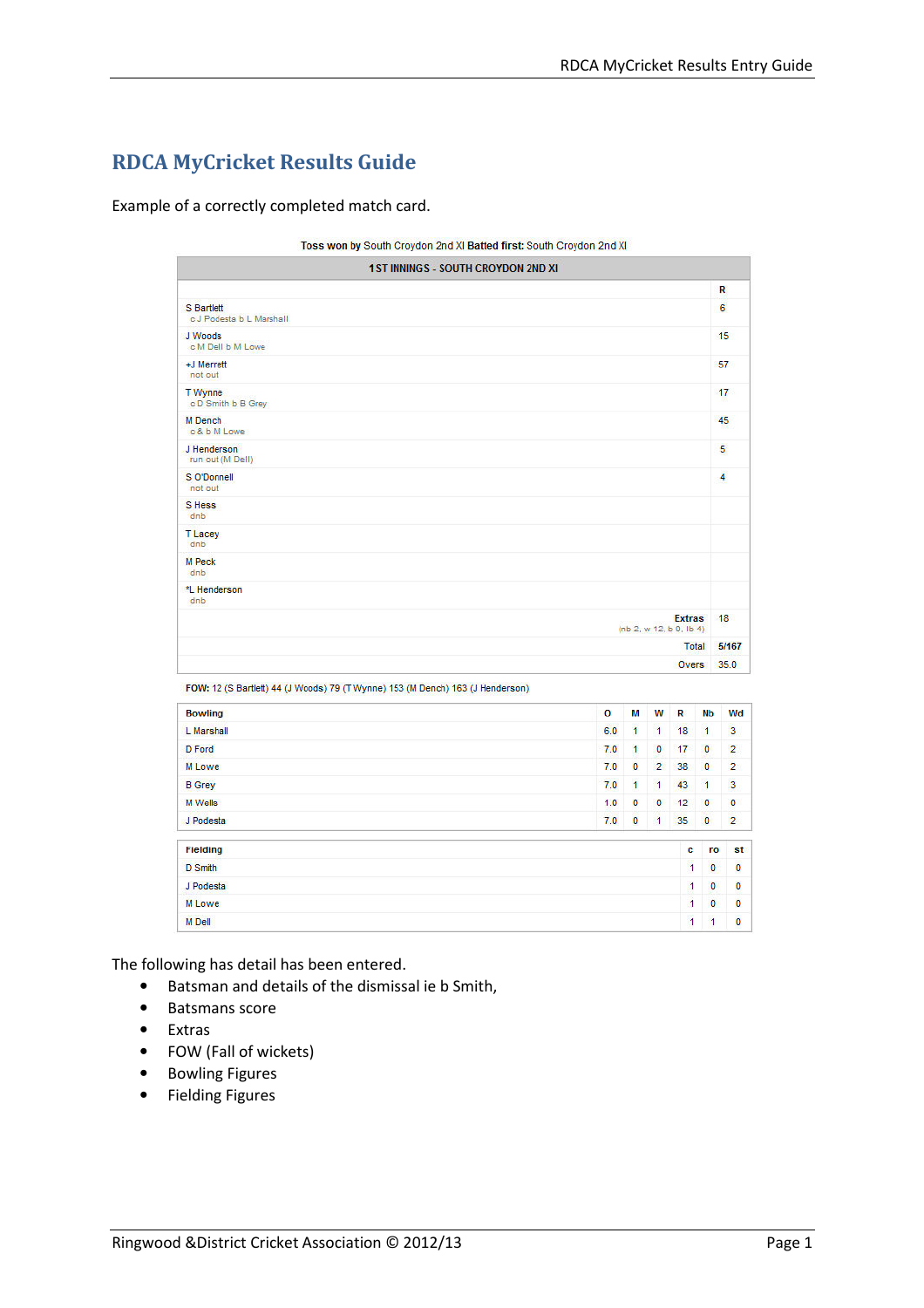# RDCA MyCricket Results Guide

Example of a correctly completed match card.

|                                         | Toss won by South Croydon 2nd XI Batted first: South Croydon 2nd XI |       |
|-----------------------------------------|---------------------------------------------------------------------|-------|
|                                         | <b>1ST INNINGS - SOUTH CROYDON 2ND XI</b>                           |       |
|                                         |                                                                     | R     |
| S Bartlett<br>c J Podesta b L Marshall. |                                                                     | 6     |
| J Woods<br>c M Dell b M Lowe            |                                                                     | 15    |
| +J Merrett<br>not out                   |                                                                     | 57    |
| T Wynne<br>cD Smith b B Grey            |                                                                     | 17    |
| M Dench<br>c& b M Lowe                  |                                                                     | 45    |
| J Henderson<br>run out (M Dell)         |                                                                     | 5     |
| S O'Donnell<br>not out                  |                                                                     | 4     |
| S Hess<br>dnb                           |                                                                     |       |
| <b>TLacey</b><br>dnb                    |                                                                     |       |
| <b>M</b> Peck<br>dnb                    |                                                                     |       |
| *L Henderson<br>dnb                     |                                                                     |       |
|                                         | <b>Extras</b><br>(nb 2, w 12, b 0, lb 4)                            | 18    |
|                                         | Total                                                               | 5/167 |
|                                         | Overs                                                               | 35.0  |

FOW: 12 (S Bartlett) 44 (J Woods) 79 (T Wynne) 153 (M Dench) 163 (J Henderson)

| <b>Bowling</b>  | O<br>M<br>w<br>R                                       | Nb             | Wd             |  |  |  |  |
|-----------------|--------------------------------------------------------|----------------|----------------|--|--|--|--|
| L Marshall      | $\overline{1}$<br>6.0<br>$\mathbf{1}$<br>18            | 1              | 3              |  |  |  |  |
| <b>D</b> Ford   | $\overline{0}$<br>17<br>1<br>7.0                       | $\overline{0}$ | $\overline{2}$ |  |  |  |  |
| M Lowe          | $\overline{0}$<br>$\overline{2}$<br>38<br>7.0          | $\mathbf{0}$   | $\overline{2}$ |  |  |  |  |
| <b>B</b> Grey   | 1<br>$\overline{1}$<br>43<br>7.0                       | $\overline{1}$ | 3              |  |  |  |  |
| M Wells         | O<br>$\mathbf{0}$<br>12<br>1.0                         | $\mathbf{0}$   | $\bf{0}$       |  |  |  |  |
| J Podesta       | $\overline{\mathbf{0}}$<br>$\overline{1}$<br>35<br>7.0 | $\mathbf{0}$   | $\overline{2}$ |  |  |  |  |
| <b>Fielding</b> | c                                                      | ro             | st             |  |  |  |  |
| D Smith         | $\overline{1}$                                         | $\pmb{0}$      | $\bf{0}$       |  |  |  |  |
| J Podesta       |                                                        |                |                |  |  |  |  |
| M Lowe          | $\overline{1}$                                         | $\mathbf{0}$   | $\mathbf 0$    |  |  |  |  |
| <b>M</b> Dell   | 1                                                      | $\overline{1}$ | O              |  |  |  |  |

The following has detail has been entered.

- Batsman and details of the dismissal ie b Smith,
- Batsmans score
- Extras
- FOW (Fall of wickets)
- Bowling Figures
- Fielding Figures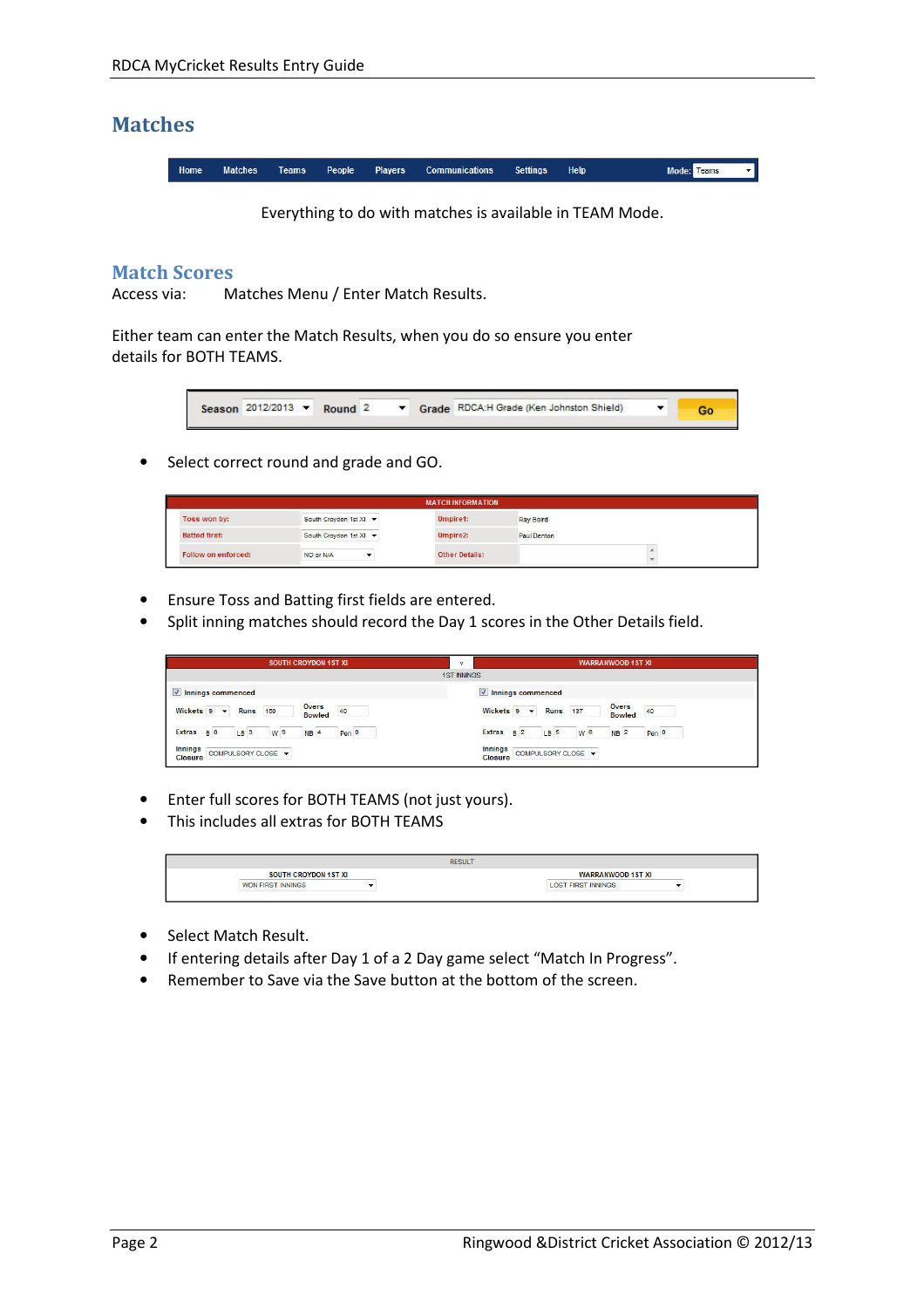# Matches

Home **Matches** Teams People Players **Communications Settings** Help Mode: Teams

Everything to do with matches is available in TEAM Mode.

## Match Scores

Access via: Matches Menu / Enter Match Results.

Either team can enter the Match Results, when you do so ensure you enter details for BOTH TEAMS.



• Select correct round and grade and GO.

| <b>MATCH INFORMATION</b>   |                        |                       |                    |  |  |  |  |  |
|----------------------------|------------------------|-----------------------|--------------------|--|--|--|--|--|
| Toss won by:               | South Croydon 1st XI   | Umpire1:              | <b>Ray Baird</b>   |  |  |  |  |  |
| <b>Batted first:</b>       | South Croydon 1st XI ~ | Umpire2:              | <b>Paul Denton</b> |  |  |  |  |  |
| <b>Follow on enforced:</b> | NO or N/A              | <b>Other Details:</b> |                    |  |  |  |  |  |

- Ensure Toss and Batting first fields are entered.
- Split inning matches should record the Day 1 scores in the Other Details field.

|                           | <b>SOUTH CROYDON 1ST XI</b> |                 |                    |                               | v     |                    |                           |                 | <b>WARRANWOOD 1ST XI</b> |                        |       |
|---------------------------|-----------------------------|-----------------|--------------------|-------------------------------|-------|--------------------|---------------------------|-----------------|--------------------------|------------------------|-------|
|                           |                             |                 |                    |                               |       | <b>1ST INNINGS</b> |                           |                 |                          |                        |       |
| Innings commenced         |                             |                 |                    |                               |       |                    | V Innings commenced       |                 |                          |                        |       |
| Wickets 9 v Runs 150      |                             |                 |                    | <b>Overs</b><br><b>Bowled</b> | 40    |                    | Wickets $9 - 7$           | <b>Runs</b> 137 |                          | Overs<br><b>Bowled</b> | 40    |
| Extras BO                 |                             | LB <sub>3</sub> | W <sub>9</sub>     | NB <sub>4</sub>               | Pen 0 |                    | Extras B <sub>2</sub>     | LB <sub>5</sub> | W <sub>6</sub>           | NB <sup>2</sup>        | Pen 0 |
| <b>Innings</b><br>Closure |                             |                 | COMPULSORY CLOSE + |                               |       |                    | <b>Innings</b><br>Closure |                 | COMPULSORY CLOSE -       |                        |       |

- Enter full scores for BOTH TEAMS (not just yours).
- This includes all extras for BOTH TEAMS



- Select Match Result.
- If entering details after Day 1 of a 2 Day game select "Match In Progress".
- Remember to Save via the Save button at the bottom of the screen.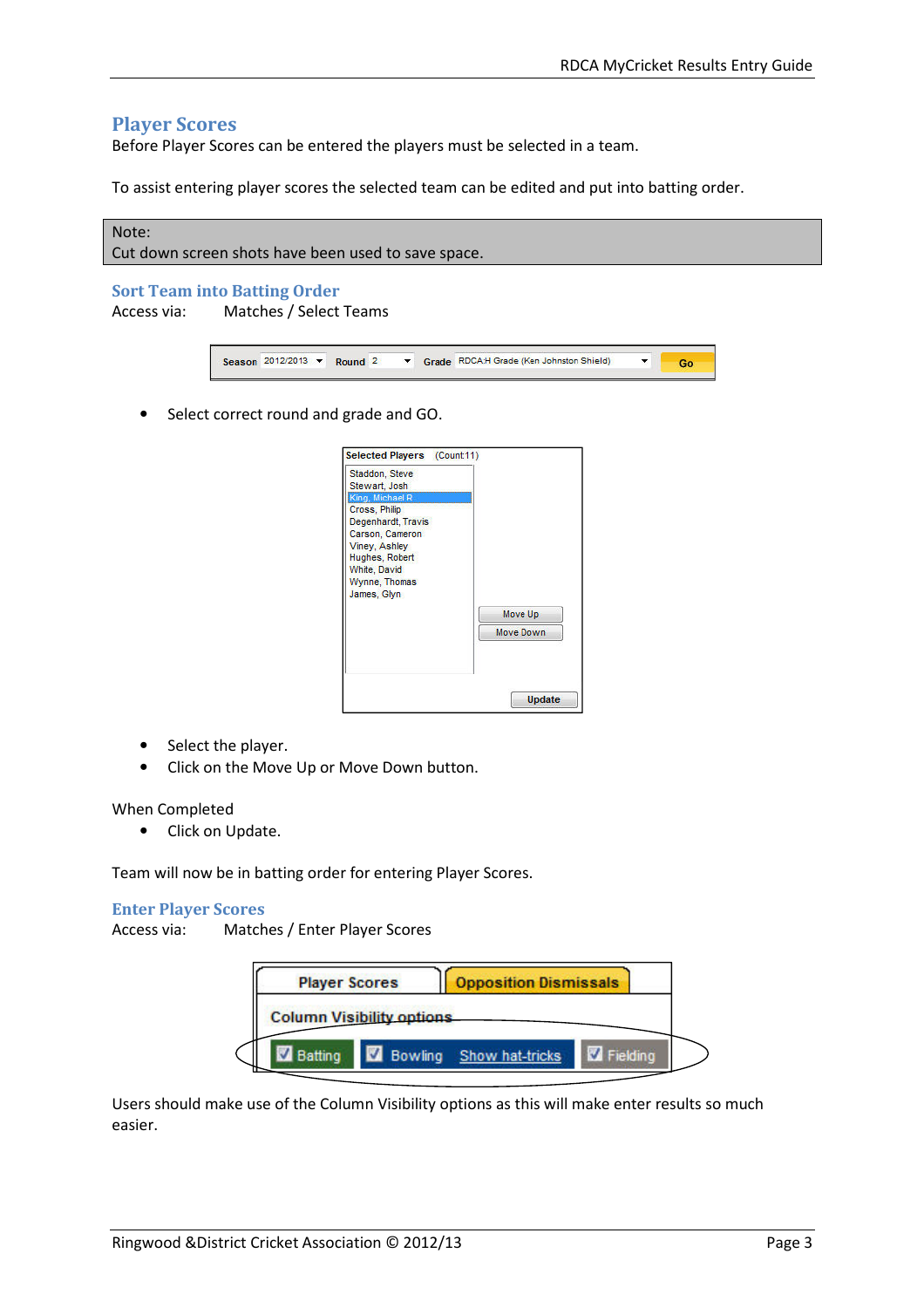## Player Scores

Before Player Scores can be entered the players must be selected in a team.

To assist entering player scores the selected team can be edited and put into batting order.

# Note: Cut down screen shots have been used to save space.

#### Sort Team into Batting Order

Access via: Matches / Select Teams



• Select correct round and grade and GO.



- Select the player.
- Click on the Move Up or Move Down button.

#### When Completed

• Click on Update.

Team will now be in batting order for entering Player Scores.

#### Enter Player Scores

Access via: Matches / Enter Player Scores

| <b>Player Scores</b>             |         | <b>Opposition Dismissals</b> |  |
|----------------------------------|---------|------------------------------|--|
| <b>Column Visibility options</b> |         |                              |  |
| Batting                          | Bowling | Show hat-tricks              |  |

Users should make use of the Column Visibility options as this will make enter results so much easier.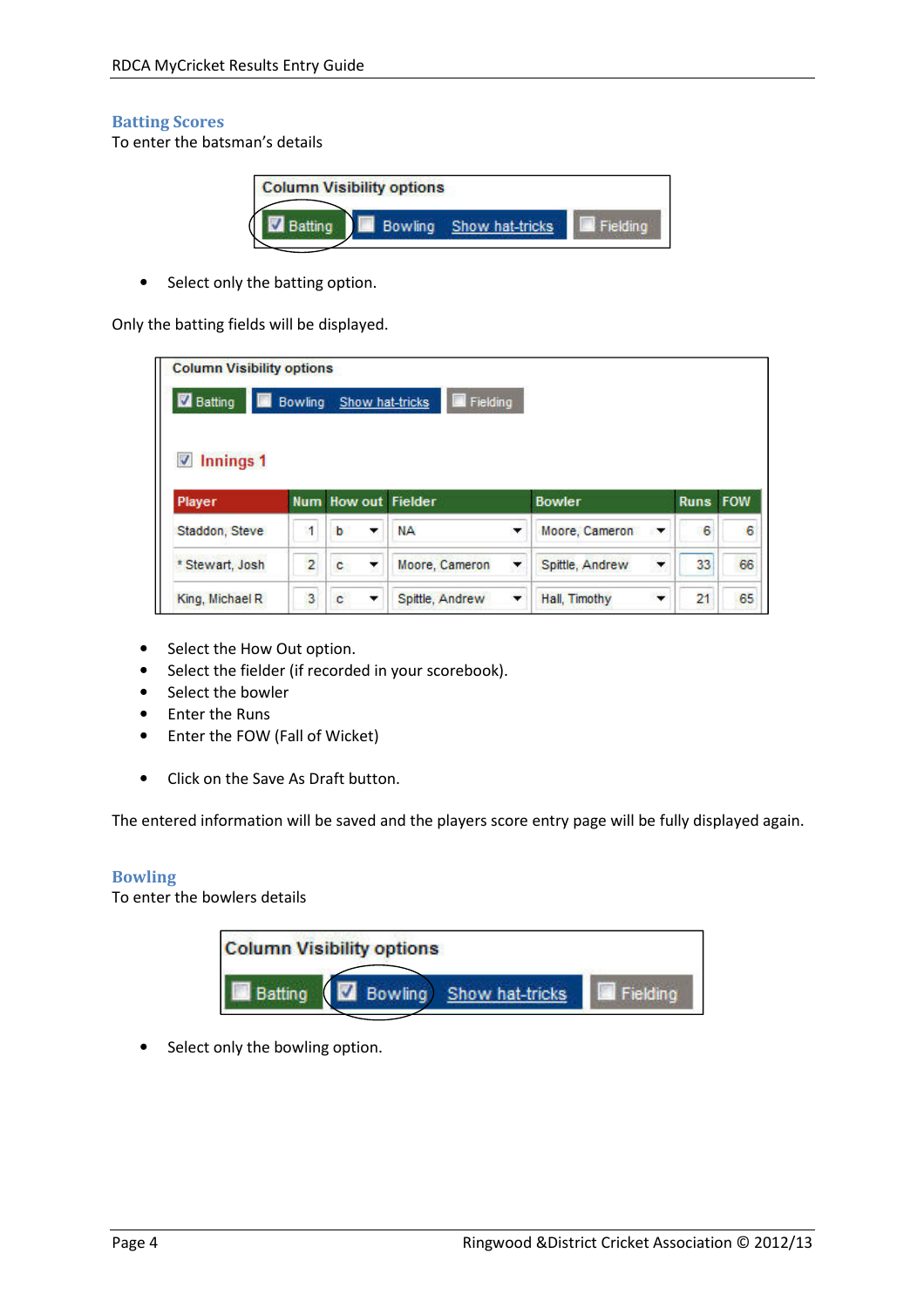## Batting Scores

To enter the batsman's details

| <b>Column Visibility options</b> |                         |  |
|----------------------------------|-------------------------|--|
|                                  | Bowling Show hat-tricks |  |

• Select only the batting option.

Only the batting fields will be displayed.

| <b>Column Visibility options</b><br><b>Z</b> Batting | Bowling | Show hat-tricks            | $\blacksquare$ Fielding |   |                      |                 |    |
|------------------------------------------------------|---------|----------------------------|-------------------------|---|----------------------|-----------------|----|
| Innings 1<br>J<br>Player                             |         | <b>Num How out Fielder</b> |                         |   | <b>Bowler</b>        | <b>Runs FOW</b> |    |
| Staddon, Steve                                       | 11      | b<br>۰                     | NА                      | ▼ | Moore, Cameron<br>▼  | 6               | 6  |
| * Stewart, Josh                                      | 2       | c<br>▼                     | Moore, Cameron          | ▼ | Spittle, Andrew<br>▼ | 33              | 66 |
| King, Michael R                                      | 3       | c<br>$\checkmark$          | Spittle, Andrew         | ▼ | Hall, Timothy<br>▼   | 21              | 65 |

- Select the How Out option.
- Select the fielder (if recorded in your scorebook).
- Select the bowler
- Enter the Runs
- Enter the FOW (Fall of Wicket)
- Click on the Save As Draft button.

The entered information will be saved and the players score entry page will be fully displayed again.

#### Bowling

To enter the bowlers details



• Select only the bowling option.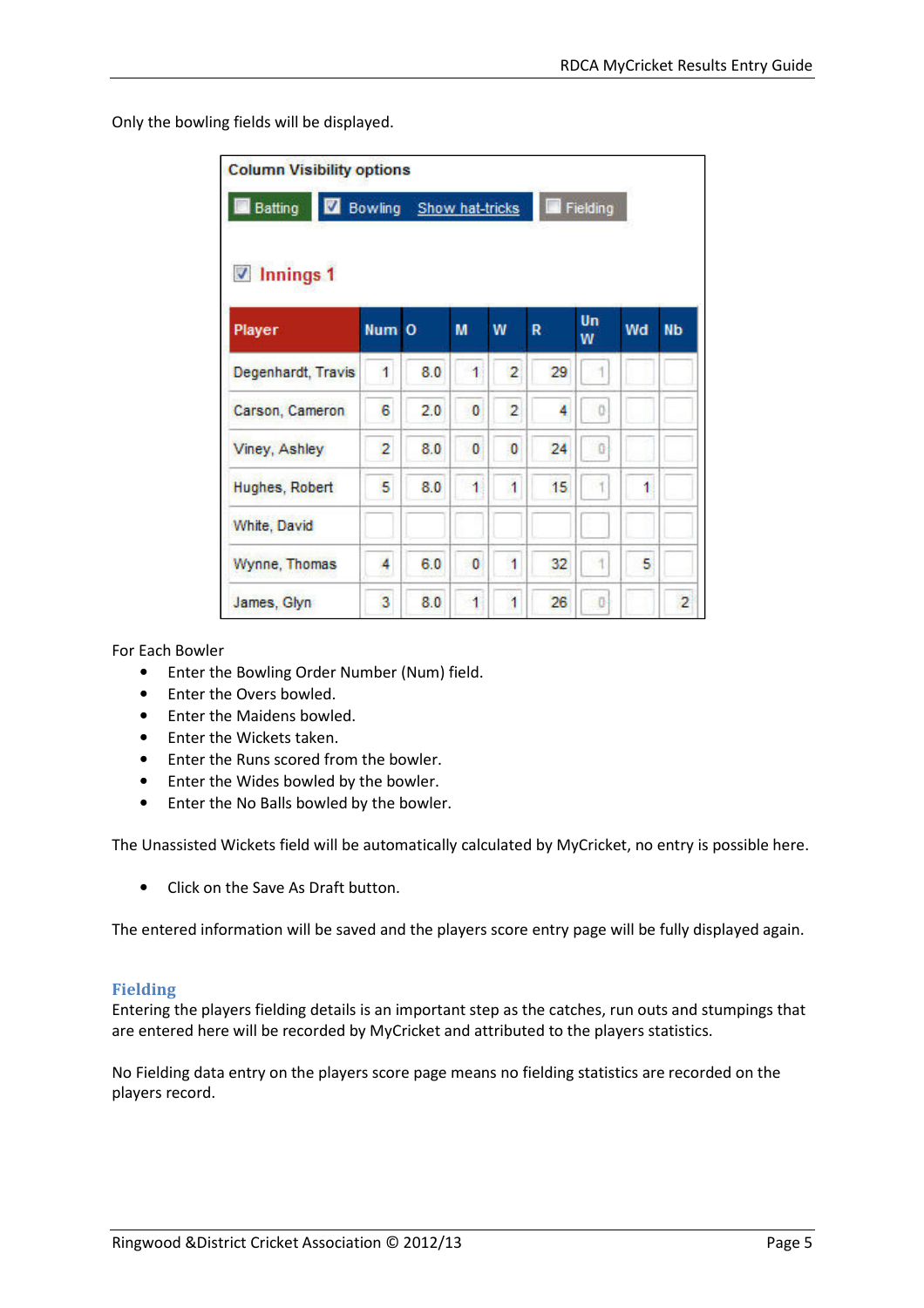Only the bowling fields will be displayed.

| <b>Column Visibility options</b><br><b>Batting</b> |       | Bowling Show hat-tricks |   |                |    | Fielding |    |                |
|----------------------------------------------------|-------|-------------------------|---|----------------|----|----------|----|----------------|
| $\sqrt{ }$ Innings 1<br>Player                     | Num O |                         | M | W              | R  | Un<br>w  | Wd | <b>Nb</b>      |
| Degenhardt, Travis                                 | 1     | 8.0                     | 1 | $\overline{2}$ | 29 |          |    |                |
| Carson, Cameron                                    | 6     | 2.0                     | o | $\overline{2}$ | 4  | o        |    |                |
| Viney, Ashley                                      | 2     | 8.0                     | o | 0              | 24 | Ü        |    |                |
| Hughes, Robert                                     | 5     | 8.0                     | 1 | Ï              | 15 |          | 1  |                |
| White, David                                       |       |                         |   |                |    |          |    |                |
| Wynne, Thomas                                      | 4     | 6.0                     | 0 | 1              | 32 |          | 5  |                |
| James, Glyn                                        | 3     | 8.0                     | 1 | 1              | 26 | Ð        |    | $\overline{2}$ |

For Each Bowler

- Enter the Bowling Order Number (Num) field.
- Enter the Overs bowled.
- Enter the Maidens bowled.
- Enter the Wickets taken.
- Enter the Runs scored from the bowler.
- Enter the Wides bowled by the bowler.
- Enter the No Balls bowled by the bowler.

The Unassisted Wickets field will be automatically calculated by MyCricket, no entry is possible here.

• Click on the Save As Draft button.

The entered information will be saved and the players score entry page will be fully displayed again.

#### Fielding

Entering the players fielding details is an important step as the catches, run outs and stumpings that are entered here will be recorded by MyCricket and attributed to the players statistics.

No Fielding data entry on the players score page means no fielding statistics are recorded on the players record.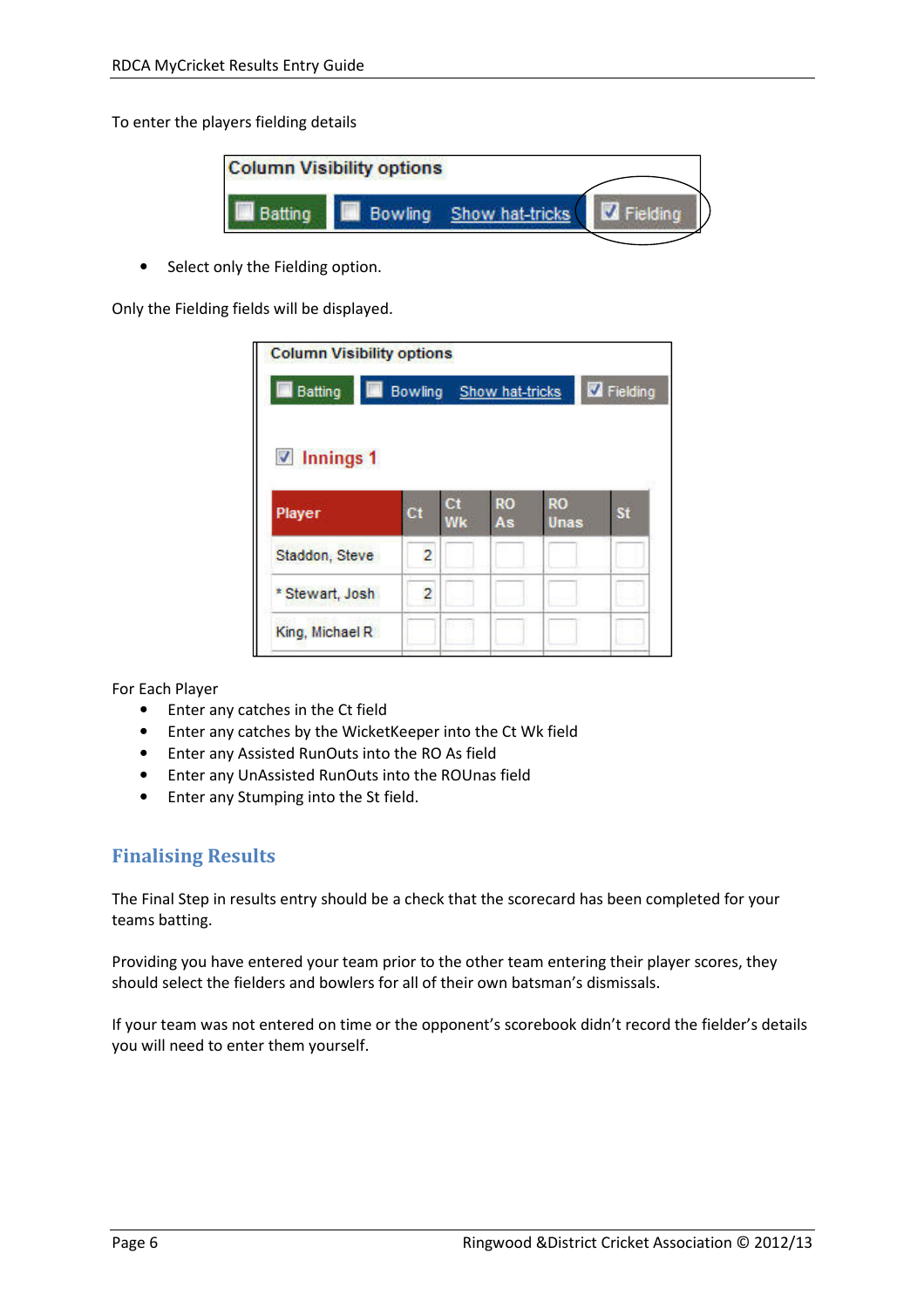To enter the players fielding details



• Select only the Fielding option.

Only the Fielding fields will be displayed.

| <b>Batting</b>               | <b>Bowling</b> |    | Show hat-tricks |           | Fielding  |
|------------------------------|----------------|----|-----------------|-----------|-----------|
| $\nabla$ Innings 1<br>Player | ct             | Сt | <b>RO</b>       | <b>RO</b> | <b>St</b> |
|                              |                | Wk | As              | Unas      |           |
|                              |                |    |                 |           |           |
| Staddon, Steve               | $\overline{c}$ |    |                 |           |           |
| * Stewart, Josh              | 2              |    |                 |           |           |

For Each Player

- Enter any catches in the Ct field
- Enter any catches by the WicketKeeper into the Ct Wk field
- Enter any Assisted RunOuts into the RO As field
- Enter any UnAssisted RunOuts into the ROUnas field
- Enter any Stumping into the St field.

# Finalising Results

The Final Step in results entry should be a check that the scorecard has been completed for your teams batting.

Providing you have entered your team prior to the other team entering their player scores, they should select the fielders and bowlers for all of their own batsman's dismissals.

If your team was not entered on time or the opponent's scorebook didn't record the fielder's details you will need to enter them yourself.